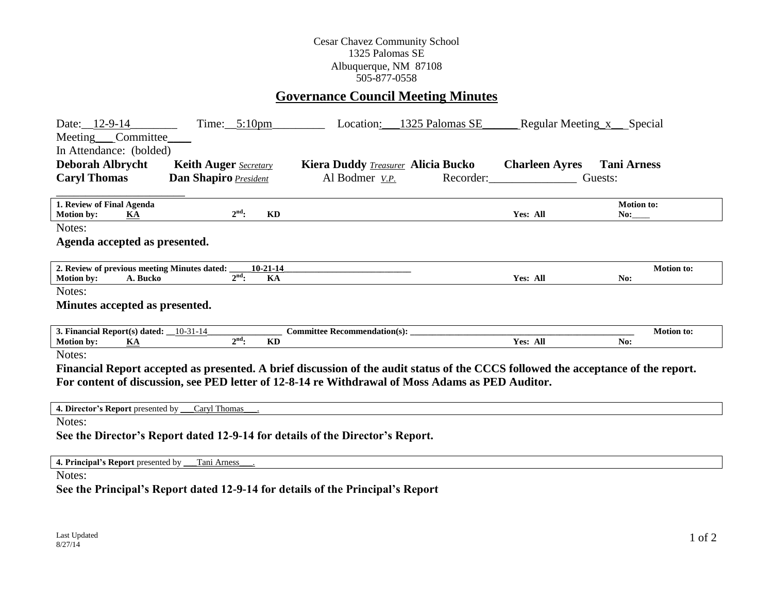## Cesar Chavez Community School 1325 Palomas SE Albuquerque, NM 87108 505-877-0558

## **Governance Council Meeting Minutes**

| Date: 12-9-14<br>$Time:$ 5:10pm<br>Meeting Committee<br>In Attendance: (bolded)<br><b>Deborah Albrycht</b><br><b>Keith Auger</b> Secretary<br><b>Caryl Thomas</b><br>Dan Shapiro President                                                      | 1325 Palomas SE<br>Location:<br>Kiera Duddy <b><i>Treasurer</i></b> Alicia Bucko<br>Al Bodmer V.P. | Regular Meeting x Special<br><b>Charleen Ayres</b><br>Recorder: | <b>Tani Arness</b><br>Guests: |  |  |
|-------------------------------------------------------------------------------------------------------------------------------------------------------------------------------------------------------------------------------------------------|----------------------------------------------------------------------------------------------------|-----------------------------------------------------------------|-------------------------------|--|--|
| 1. Review of Final Agenda<br>$2^{\text{nd}}$ :<br>KD<br><b>Motion by:</b><br>KA                                                                                                                                                                 |                                                                                                    | Yes: All                                                        | <b>Motion to:</b><br>No:      |  |  |
| Notes:<br>Agenda accepted as presented.                                                                                                                                                                                                         |                                                                                                    |                                                                 |                               |  |  |
| 2. Review of previous meeting Minutes dated:<br>$10-21-14$<br>$2nd$ :<br>KA<br><b>Motion by:</b><br>A. Bucko                                                                                                                                    |                                                                                                    | Yes: All                                                        | <b>Motion to:</b><br>No:      |  |  |
| Notes:<br>Minutes accepted as presented.                                                                                                                                                                                                        |                                                                                                    |                                                                 |                               |  |  |
| 3. Financial Report(s) dated: $\underline{\hspace{1cm}} 10-31-14$<br>$2nd$ :<br><b>KD</b><br><b>Motion by:</b><br>KA                                                                                                                            |                                                                                                    | Yes: All                                                        | <b>Motion to:</b><br>No:      |  |  |
| Notes:<br>Financial Report accepted as presented. A brief discussion of the audit status of the CCCS followed the acceptance of the report.<br>For content of discussion, see PED letter of 12-8-14 re Withdrawal of Moss Adams as PED Auditor. |                                                                                                    |                                                                 |                               |  |  |
| 4. Director's Report presented by Caryl Thomas                                                                                                                                                                                                  |                                                                                                    |                                                                 |                               |  |  |
| Notes:<br>See the Director's Report dated 12-9-14 for details of the Director's Report.                                                                                                                                                         |                                                                                                    |                                                                 |                               |  |  |
| 4. Principal's Report presented by Tani Arness                                                                                                                                                                                                  |                                                                                                    |                                                                 |                               |  |  |

Notes:

**See the Principal's Report dated 12-9-14 for details of the Principal's Report**